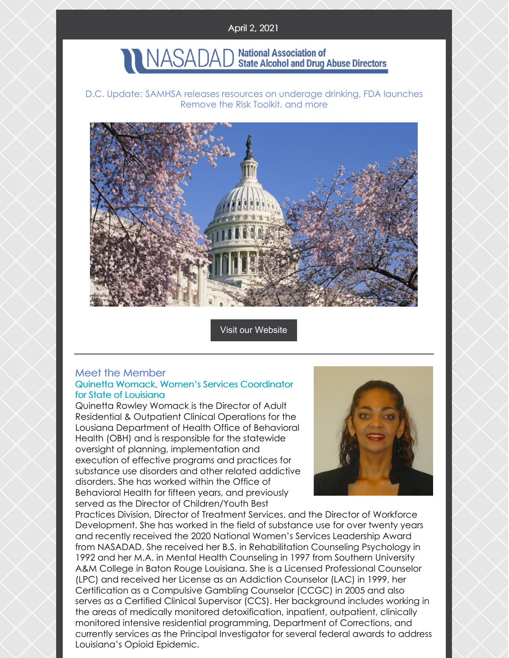#### April 2, 2021

# NASADAD National Association of NASADAD State Alcohol and Drug Abuse Directors

D.C. Update: SAMHSA releases resources on underage drinking, FDA launches Remove the Risk Toolkit, and more



Visit our [Website](http://www.nasadad.org)

#### Meet the Member Quinetta Womack, Women's Services Coordinator for State of Louisiana

Quinetta Rowley Womack is the Director of Adult Residential & Outpatient Clinical Operations for the Lousiana Department of Health Office of Behavioral Health (OBH) and is responsible for the statewide oversight of planning, implementation and execution of effective programs and practices for substance use disorders and other related addictive disorders. She has worked within the Office of Behavioral Health for fifteen years, and previously served as the Director of Children/Youth Best



Practices Division, Director of Treatment Services, and the Director of Workforce Development. She has worked in the field of substance use for over twenty years and recently received the 2020 National Women's Services Leadership Award from NASADAD. She received her B.S. in Rehabilitation Counseling Psychology in 1992 and her M.A. in Mental Health Counseling in 1997 from Southern University A&M College in Baton Rouge Louisiana. She is a Licensed Professional Counselor (LPC) and received her License as an Addiction Counselor (LAC) in 1999, her Certification as a Compulsive Gambling Counselor (CCGC) in 2005 and also serves as a Certified Clinical Supervisor (CCS). Her background includes working in the areas of medically monitored detoxification, inpatient, outpatient, clinically monitored intensive residential programming, Department of Corrections, and currently services as the Principal Investigator for several federal awards to address Louisiana's Opioid Epidemic.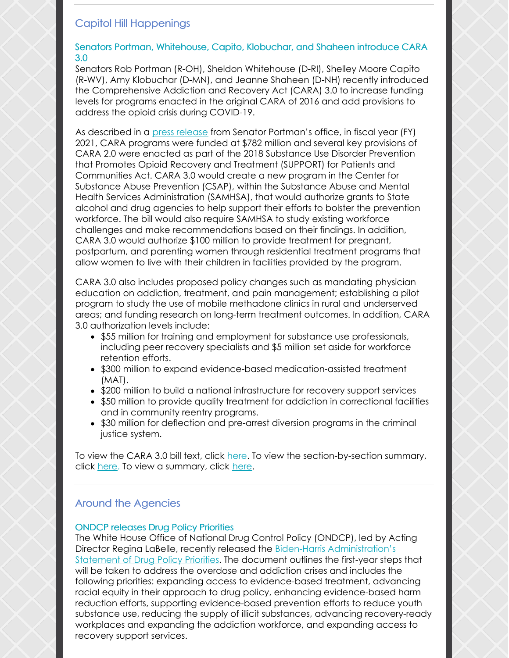## Capitol Hill Happenings

#### Senators Portman, Whitehouse, Capito, Klobuchar, and Shaheen introduce CARA 3.0

Senators Rob Portman (R-OH), Sheldon Whitehouse (D-RI), Shelley Moore Capito (R-WV), Amy Klobuchar (D-MN), and Jeanne Shaheen (D-NH) recently introduced the Comprehensive Addiction and Recovery Act (CARA) 3.0 to increase funding levels for programs enacted in the original CARA of 2016 and add provisions to address the opioid crisis during COVID-19.

As described in a press [release](https://www.portman.senate.gov/newsroom/press-releases/portman-whitehouse-capito-klobuchar-shaheen-introduce-cara-30-increase) from Senator Portman's office, in fiscal year (FY) 2021, CARA programs were funded at \$782 million and several key provisions of CARA 2.0 were enacted as part of the 2018 Substance Use Disorder Prevention that Promotes Opioid Recovery and Treatment (SUPPORT) for Patients and Communities Act. CARA 3.0 would create a new program in the Center for Substance Abuse Prevention (CSAP), within the Substance Abuse and Mental Health Services Administration (SAMHSA), that would authorize grants to State alcohol and drug agencies to help support their efforts to bolster the prevention workforce. The bill would also require SAMHSA to study existing workforce challenges and make recommendations based on their findings. In addition, CARA 3.0 would authorize \$100 million to provide treatment for pregnant, postpartum, and parenting women through residential treatment programs that allow women to live with their children in facilities provided by the program.

CARA 3.0 also includes proposed policy changes such as mandating physician education on addiction, treatment, and pain management; establishing a pilot program to study the use of mobile methadone clinics in rural and underserved areas; and funding research on long-term treatment outcomes. In addition, CARA 3.0 authorization levels include:

- \$55 million for training and employment for substance use professionals, including peer recovery specialists and \$5 million set aside for workforce retention efforts.
- \$300 million to expand evidence-based medication-assisted treatment (MAT).
- \$200 million to build a national infrastructure for recovery support services
- \$50 million to provide quality treatment for addiction in correctional facilities and in community reentry programs.
- \$30 million for deflection and pre-arrest diversion programs in the criminal justice system.

To view the CARA 3.0 bill text, click [here](https://www.portman.senate.gov/sites/default/files/2021-03/TAM21688.pdf). To view the section-by-section summary, click [here](https://www.portman.senate.gov/sites/default/files/2021-03/3.25.21 CARA 3.0 Section by Section FINAL.pdf). To view a summary, click [here](https://www.portman.senate.gov/sites/default/files/2021-03/3.25.21CARA 3.0 one pager FINAL.pdf).

## Around the Agencies

### ONDCP releases Drug Policy Priorities

The White House Office of National Drug Control Policy (ONDCP), led by Acting Director Regina LaBelle, recently released the Biden-Harris [Administration's](https://www.whitehouse.gov/wp-content/uploads/2021/03/BidenHarris-Statement-of-Drug-Policy-Priorities-April-1.pdf) Statement of Drug Policy Priorities. The document outlines the first-year steps that will be taken to address the overdose and addiction crises and includes the following priorities: expanding access to evidence-based treatment, advancing racial equity in their approach to drug policy, enhancing evidence-based harm reduction efforts, supporting evidence-based prevention efforts to reduce youth substance use, reducing the supply of illicit substances, advancing recovery-ready workplaces and expanding the addiction workforce, and expanding access to recovery support services.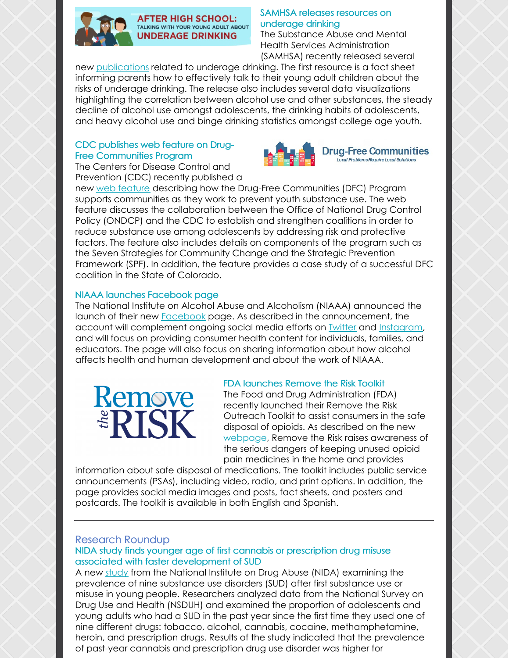

#### SAMHSA releases resources on underage drinking

The Substance Abuse and Mental Health Services Administration (SAMHSA) recently released several

new [publications](https://store.samhsa.gov/product/after-high-school-talking-your-young-adult-about-underage-drinking/PEP21-03-10-001?referer=from_search_result&utm_source=SAMHSA&utm_campaign=d5aea646da-EMAIL_CAMPAIGN_3_30_2021_GRANTS&utm_medium=email&utm_term=0_ee1c4b138c-d5aea646da-167785569) related to underage drinking. The first resource is a fact sheet informing parents how to effectively talk to their young adult children about the risks of underage drinking. The release also includes several data visualizations highlighting the correlation between alcohol use and other substances, the steady decline of alcohol use amongst adolescents, the drinking habits of adolescents, and heavy alcohol use and binge drinking statistics amongst college age youth.

#### CDC publishes web feature on Drug-Free Communities Program







**Drug-Free Communities** Local Problems Require Local Solutions

new web [feature](https://www.cdc.gov/drugoverdose/pubs/featured-topics/drug-free-communities.html?ACSTrackingID=USCDC_1026-DM50813&ACSTrackingLabel=March 2021 Drug Overdose Updates %2B Save Lives by Safely Managing Chronic Pain&deliveryName=USCDC_1026-DM50813) describing how the Drug-Free Communities (DFC) Program supports communities as they work to prevent youth substance use. The web feature discusses the collaboration between the Office of National Drug Control Policy (ONDCP) and the CDC to establish and strengthen coalitions in order to reduce substance use among adolescents by addressing risk and protective factors. The feature also includes details on components of the program such as the Seven Strategies for Community Change and the Strategic Prevention Framework (SPF). In addition, the feature provides a case study of a successful DFC coalition in the State of Colorado.

#### NIAAA launches Facebook page

The National Institute on Alcohol Abuse and Alcoholism (NIAAA) announced the launch of their new [Facebook](https://www.facebook.com/NIAAAgov) page. As described in the announcement, the account will complement ongoing social media efforts on [Twitter](https://twitter.com/NIAAAnews) and [Instagram](https://www.instagram.com/niaaanews/?hl=en), and will focus on providing consumer health content for individuals, families, and educators. The page will also focus on sharing information about how alcohol affects health and human development and about the work of NIAAA.



#### FDA launches Remove the Risk Toolkit

The Food and Drug Administration (FDA) recently launched their Remove the Risk Outreach Toolkit to assist consumers in the safe disposal of opioids. As described on the new [webpage](https://www.fda.gov/drugs/ensuring-safe-use-medicine/safe-opioid-disposal-remove-risk-outreach-toolkit?Fri, 19 Mar 2021 16:28:41 EDT), Remove the Risk raises awareness of the serious dangers of keeping unused opioid pain medicines in the home and provides

information about safe disposal of medications. The toolkit includes public service announcements (PSAs), including video, radio, and print options. In addition, the page provides social media images and posts, fact sheets, and posters and postcards. The toolkit is available in both English and Spanish.

#### Research Roundup

#### NIDA study finds younger age of first cannabis or prescription drug misuse associated with faster development of SUD

A new [study](https://www.nih.gov/news-events/news-releases/younger-age-first-cannabis-use-or-prescription-drug-misuse-associated-faster-development-substance-use-disorders) from the National Institute on Drug Abuse (NIDA) examining the prevalence of nine substance use disorders (SUD) after first substance use or misuse in young people. Researchers analyzed data from the National Survey on Drug Use and Health (NSDUH) and examined the proportion of adolescents and young adults who had a SUD in the past year since the first time they used one of nine different drugs: tobacco, alcohol, cannabis, cocaine, methamphetamine, heroin, and prescription drugs. Results of the study indicated that the prevalence of past-year cannabis and prescription drug use disorder was higher for